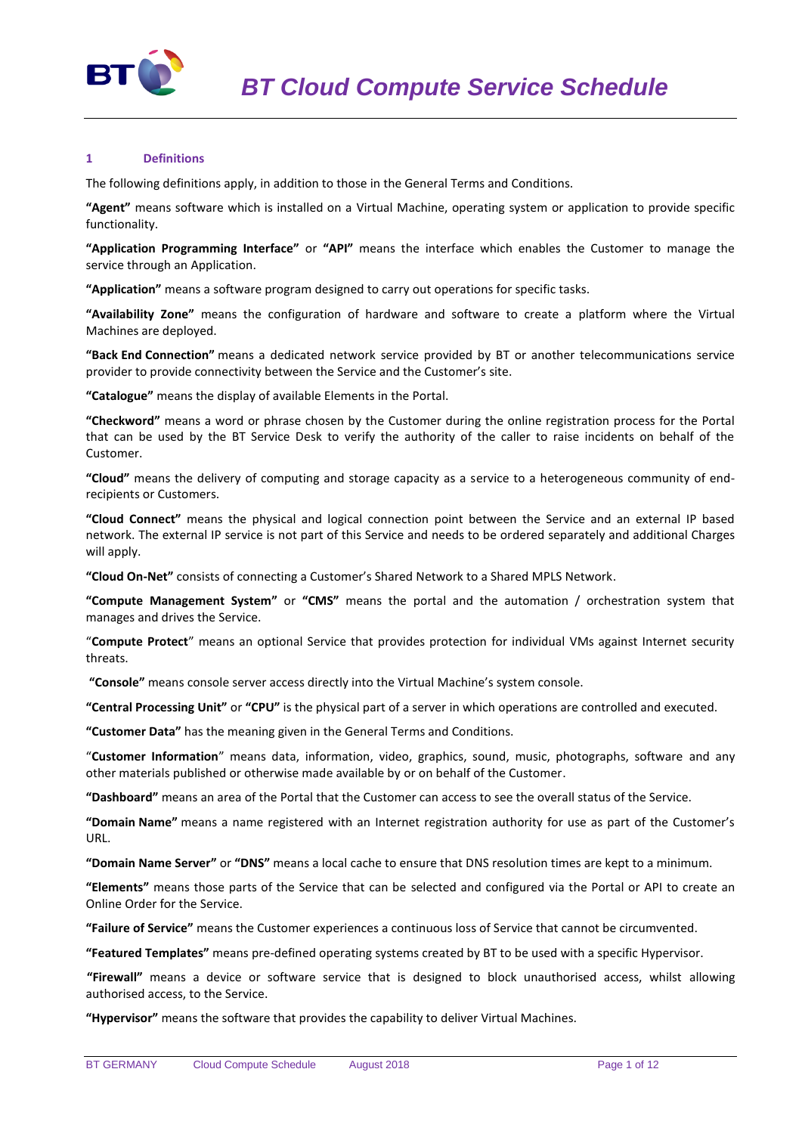

### **1 Definitions**

The following definitions apply, in addition to those in the General Terms and Conditions.

**"Agent"** means software which is installed on a Virtual Machine, operating system or application to provide specific functionality.

**"Application Programming Interface"** or **"API"** means the interface which enables the Customer to manage the service through an Application.

**"Application"** means a software program designed to carry out operations for specific tasks.

**"Availability Zone"** means the configuration of hardware and software to create a platform where the Virtual Machines are deployed.

**"Back End Connection"** means a dedicated network service provided by BT or another telecommunications service provider to provide connectivity between the Service and the Customer's site.

**"Catalogue"** means the display of available Elements in the Portal.

**"Checkword"** means a word or phrase chosen by the Customer during the online registration process for the Portal that can be used by the BT Service Desk to verify the authority of the caller to raise incidents on behalf of the Customer.

**"Cloud"** means the delivery of computing and storage capacity as a service to a heterogeneous community of endrecipients or Customers.

**"Cloud Connect"** means the physical and logical connection point between the Service and an external IP based network. The external IP service is not part of this Service and needs to be ordered separately and additional Charges will apply.

**"Cloud On-Net"** consists of connecting a Customer's Shared Network to a Shared MPLS Network.

**"Compute Management System"** or **"CMS"** means the portal and the automation / orchestration system that manages and drives the Service.

"**Compute Protect**" means an optional Service that provides protection for individual VMs against Internet security threats.

**"Console"** means console server access directly into the Virtual Machine's system console.

**"Central Processing Unit"** or **"CPU"** is the physical part of a server in which operations are controlled and executed.

**"Customer Data"** has the meaning given in the General Terms and Conditions.

"**Customer Information**" means data, information, video, graphics, sound, music, photographs, software and any other materials published or otherwise made available by or on behalf of the Customer.

**"Dashboard"** means an area of the Portal that the Customer can access to see the overall status of the Service.

**"Domain Name"** means a name registered with an Internet registration authority for use as part of the Customer's URL.

**"Domain Name Server"** or **"DNS"** means a local cache to ensure that DNS resolution times are kept to a minimum.

**"Elements"** means those parts of the Service that can be selected and configured via the Portal or API to create an Online Order for the Service.

**"Failure of Service"** means the Customer experiences a continuous loss of Service that cannot be circumvented.

**"Featured Templates"** means pre-defined operating systems created by BT to be used with a specific Hypervisor.

**"Firewall"** means a device or software service that is designed to block unauthorised access, whilst allowing authorised access, to the Service.

**"Hypervisor"** means the software that provides the capability to deliver Virtual Machines.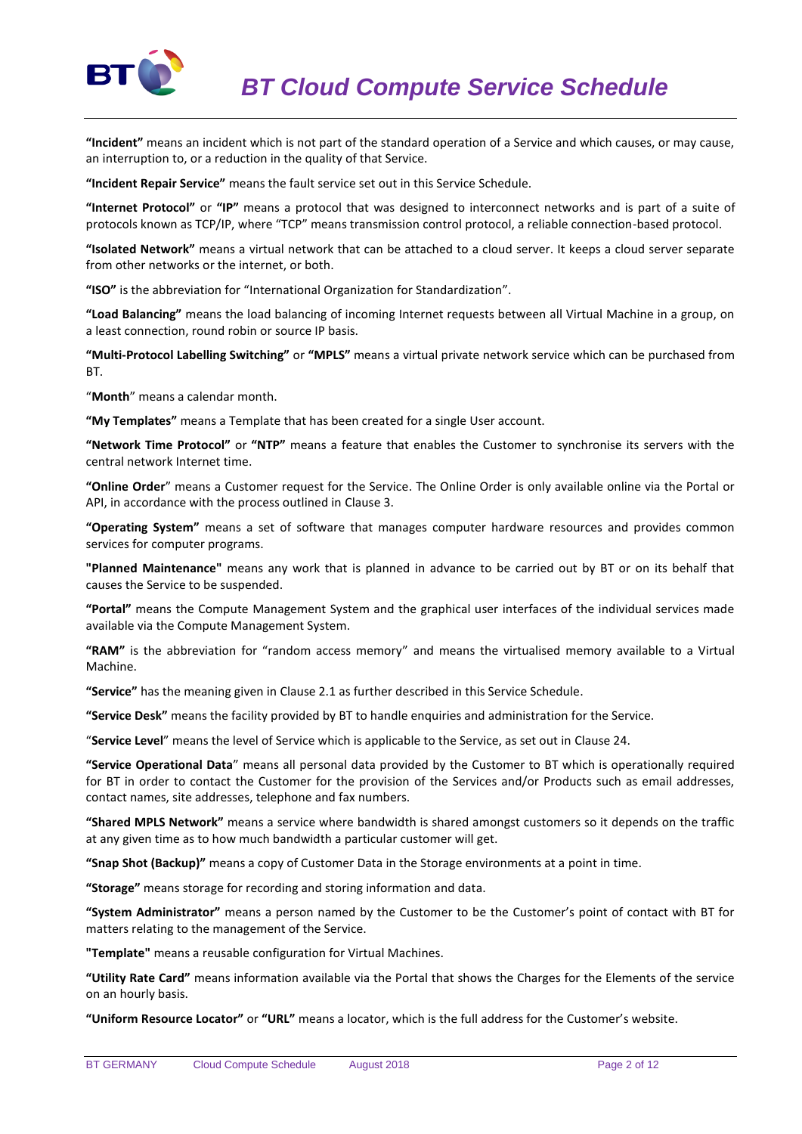

**"Incident"** means an incident which is not part of the standard operation of a Service and which causes, or may cause, an interruption to, or a reduction in the quality of that Service.

**"Incident Repair Service"** means the fault service set out in this Service Schedule.

**"Internet Protocol"** or **"IP"** means a protocol that was designed to interconnect networks and is part of a suite of protocols known as TCP/IP, where "TCP" means transmission control protocol, a reliable connection-based protocol.

**"Isolated Network"** means a virtual network that can be attached to a cloud server. It keeps a cloud server separate from other networks or the internet, or both.

**"ISO"** is the abbreviation for "International Organization for Standardization".

**"Load Balancing"** means the load balancing of incoming Internet requests between all Virtual Machine in a group, on a least connection, round robin or source IP basis.

**"Multi-Protocol Labelling Switching"** or **"MPLS"** means a virtual private network service which can be purchased from BT.

"**Month**" means a calendar month.

**"My Templates"** means a Template that has been created for a single User account.

**"Network Time Protocol"** or **"NTP"** means a feature that enables the Customer to synchronise its servers with the central network Internet time.

**"Online Order**" means a Customer request for the Service. The Online Order is only available online via the Portal or API, in accordance with the process outlined in Clause 3.

**"Operating System"** means a set of software that manages computer hardware resources and provides common services for computer programs.

**"Planned Maintenance"** means any work that is planned in advance to be carried out by BT or on its behalf that causes the Service to be suspended.

**"Portal"** means the Compute Management System and the graphical user interfaces of the individual services made available via the Compute Management System.

**"RAM"** is the abbreviation for "random access memory" and means the virtualised memory available to a Virtual Machine.

**"Service"** has the meaning given in Clause 2.1 as further described in this Service Schedule.

**"Service Desk"** means the facility provided by BT to handle enquiries and administration for the Service.

"**Service Level**" means the level of Service which is applicable to the Service, as set out in Clause 24.

**"Service Operational Data**" means all personal data provided by the Customer to BT which is operationally required for BT in order to contact the Customer for the provision of the Services and/or Products such as email addresses, contact names, site addresses, telephone and fax numbers.

**"Shared MPLS Network"** means a service where bandwidth is shared amongst customers so it depends on the traffic at any given time as to how much bandwidth a particular customer will get.

**"Snap Shot (Backup)"** means a copy of Customer Data in the Storage environments at a point in time.

**"Storage"** means storage for recording and storing information and data.

**"System Administrator"** means a person named by the Customer to be the Customer's point of contact with BT for matters relating to the management of the Service.

**"Template"** means a reusable configuration for Virtual Machines.

**"Utility Rate Card"** means information available via the Portal that shows the Charges for the Elements of the service on an hourly basis.

**"Uniform Resource Locator"** or **"URL"** means a locator, which is the full address for the Customer's website.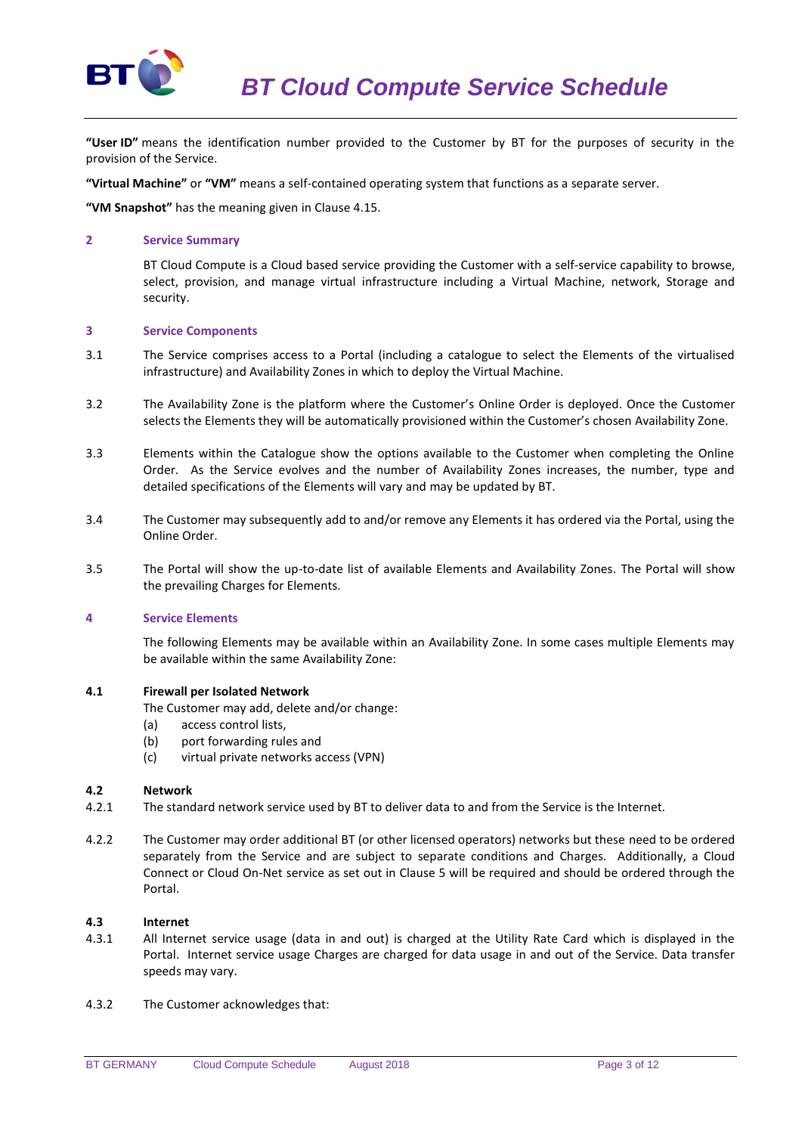

**"User ID"** means the identification number provided to the Customer by BT for the purposes of security in the provision of the Service.

**"Virtual Machine"** or **"VM"** means a self-contained operating system that functions as a separate server.

**"VM Snapshot"** has the meaning given in Clause 4.15.

#### **2 Service Summary**

BT Cloud Compute is a Cloud based service providing the Customer with a self-service capability to browse, select, provision, and manage virtual infrastructure including a Virtual Machine, network, Storage and security.

### **3 Service Components**

- 3.1 The Service comprises access to a Portal (including a catalogue to select the Elements of the virtualised infrastructure) and Availability Zones in which to deploy the Virtual Machine.
- 3.2 The Availability Zone is the platform where the Customer's Online Order is deployed. Once the Customer selects the Elements they will be automatically provisioned within the Customer's chosen Availability Zone.
- 3.3 Elements within the Catalogue show the options available to the Customer when completing the Online Order. As the Service evolves and the number of Availability Zones increases, the number, type and detailed specifications of the Elements will vary and may be updated by BT.
- 3.4 The Customer may subsequently add to and/or remove any Elements it has ordered via the Portal, using the Online Order.
- 3.5 The Portal will show the up-to-date list of available Elements and Availability Zones. The Portal will show the prevailing Charges for Elements.

#### **4 Service Elements**

The following Elements may be available within an Availability Zone. In some cases multiple Elements may be available within the same Availability Zone:

#### **4.1 Firewall per Isolated Network**

The Customer may add, delete and/or change:

- (a) access control lists,
- (b) port forwarding rules and
- (c) virtual private networks access (VPN)

#### **4.2 Network**

- 4.2.1 The standard network service used by BT to deliver data to and from the Service is the Internet.
- 4.2.2 The Customer may order additional BT (or other licensed operators) networks but these need to be ordered separately from the Service and are subject to separate conditions and Charges. Additionally, a Cloud Connect or Cloud On-Net service as set out in Clause 5 will be required and should be ordered through the Portal.

# **4.3 Internet**

- 4.3.1 All Internet service usage (data in and out) is charged at the Utility Rate Card which is displayed in the Portal. Internet service usage Charges are charged for data usage in and out of the Service. Data transfer speeds may vary.
- 4.3.2 The Customer acknowledges that: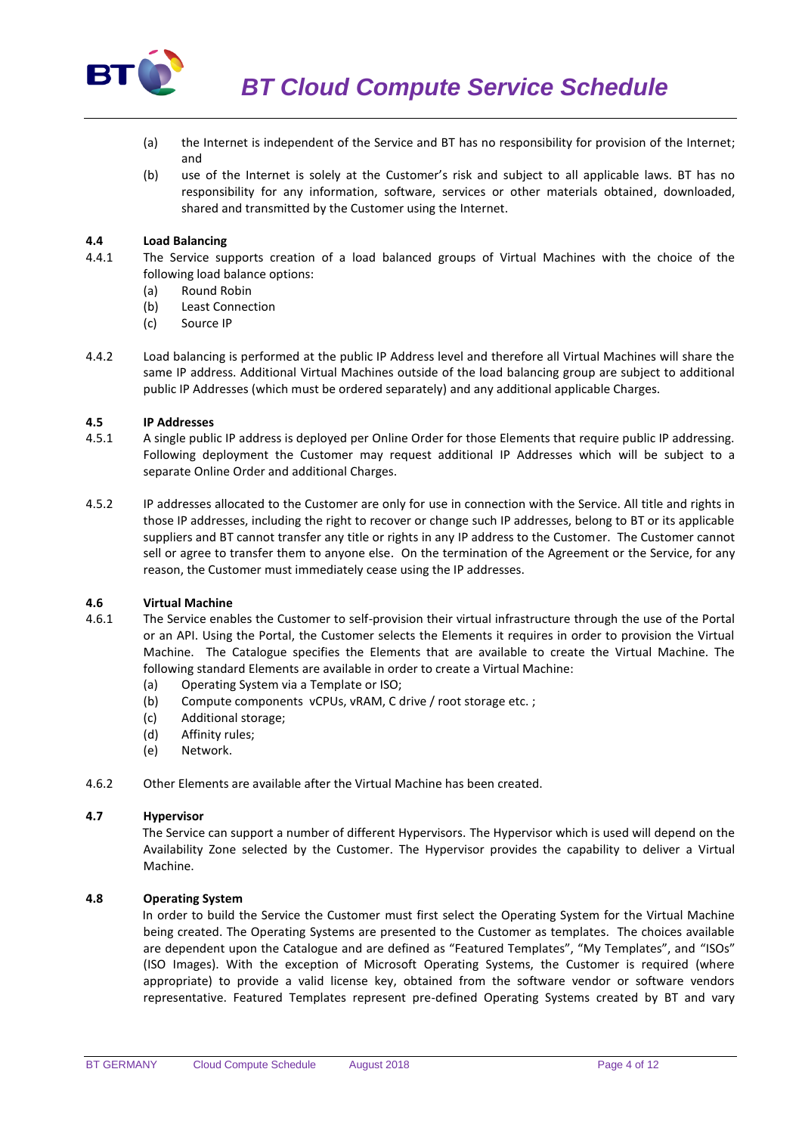

- (a) the Internet is independent of the Service and BT has no responsibility for provision of the Internet; and
- (b) use of the Internet is solely at the Customer's risk and subject to all applicable laws. BT has no responsibility for any information, software, services or other materials obtained, downloaded, shared and transmitted by the Customer using the Internet.

# **4.4 Load Balancing**

- 4.4.1 The Service supports creation of a load balanced groups of Virtual Machines with the choice of the following load balance options:
	- (a) Round Robin
	- (b) Least Connection
	- (c) Source IP
- 4.4.2 Load balancing is performed at the public IP Address level and therefore all Virtual Machines will share the same IP address. Additional Virtual Machines outside of the load balancing group are subject to additional public IP Addresses (which must be ordered separately) and any additional applicable Charges.

### **4.5 IP Addresses**

- 4.5.1 A single public IP address is deployed per Online Order for those Elements that require public IP addressing. Following deployment the Customer may request additional IP Addresses which will be subject to a separate Online Order and additional Charges.
- 4.5.2 IP addresses allocated to the Customer are only for use in connection with the Service. All title and rights in those IP addresses, including the right to recover or change such IP addresses, belong to BT or its applicable suppliers and BT cannot transfer any title or rights in any IP address to the Customer. The Customer cannot sell or agree to transfer them to anyone else. On the termination of the Agreement or the Service, for any reason, the Customer must immediately cease using the IP addresses.

# **4.6 Virtual Machine**

- 4.6.1 The Service enables the Customer to self-provision their virtual infrastructure through the use of the Portal or an API. Using the Portal, the Customer selects the Elements it requires in order to provision the Virtual Machine. The Catalogue specifies the Elements that are available to create the Virtual Machine. The following standard Elements are available in order to create a Virtual Machine:
	- (a) Operating System via a Template or ISO;
	- (b) Compute components vCPUs, vRAM, C drive / root storage etc. ;
	- (c) Additional storage;
	- (d) Affinity rules;
	- (e) Network.
- 4.6.2 Other Elements are available after the Virtual Machine has been created.

### **4.7 Hypervisor**

The Service can support a number of different Hypervisors. The Hypervisor which is used will depend on the Availability Zone selected by the Customer. The Hypervisor provides the capability to deliver a Virtual Machine.

# **4.8 Operating System**

In order to build the Service the Customer must first select the Operating System for the Virtual Machine being created. The Operating Systems are presented to the Customer as templates. The choices available are dependent upon the Catalogue and are defined as "Featured Templates", "My Templates", and "ISOs" (ISO Images). With the exception of Microsoft Operating Systems, the Customer is required (where appropriate) to provide a valid license key, obtained from the software vendor or software vendors representative. Featured Templates represent pre-defined Operating Systems created by BT and vary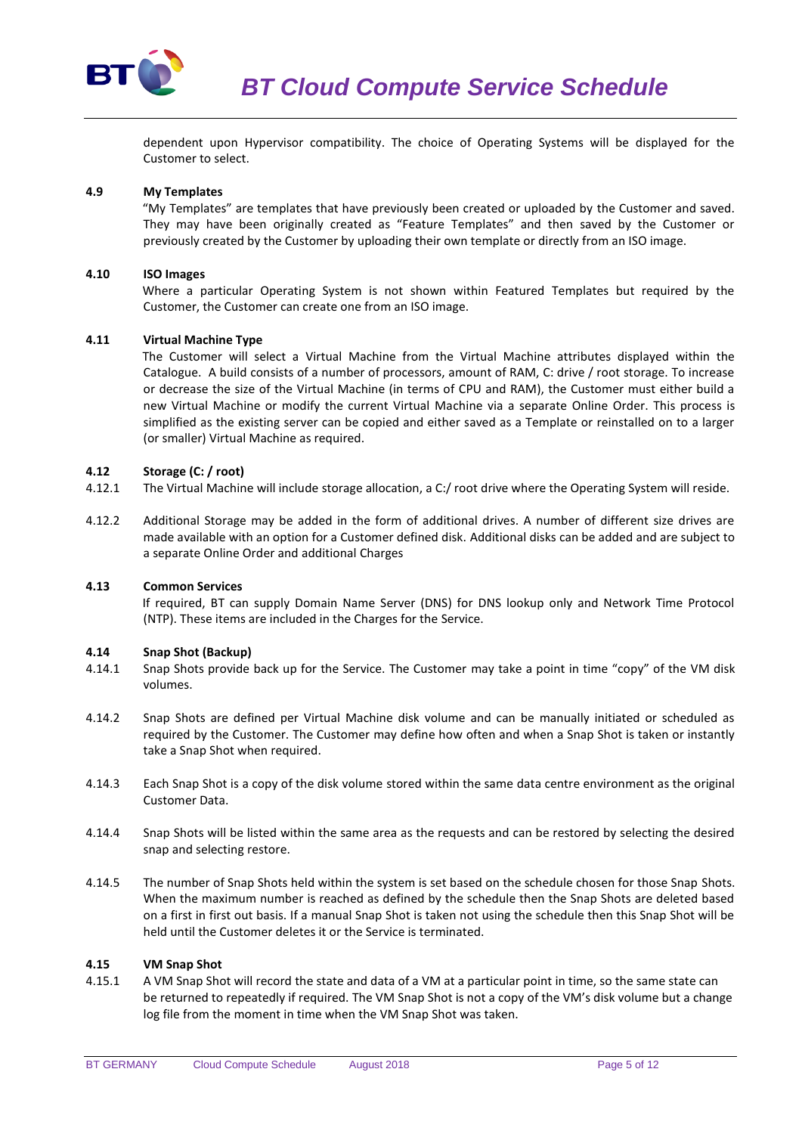

dependent upon Hypervisor compatibility. The choice of Operating Systems will be displayed for the Customer to select.

### **4.9 My Templates**

"My Templates" are templates that have previously been created or uploaded by the Customer and saved. They may have been originally created as "Feature Templates" and then saved by the Customer or previously created by the Customer by uploading their own template or directly from an ISO image.

#### **4.10 ISO Images**

Where a particular Operating System is not shown within Featured Templates but required by the Customer, the Customer can create one from an ISO image.

### **4.11 Virtual Machine Type**

The Customer will select a Virtual Machine from the Virtual Machine attributes displayed within the Catalogue. A build consists of a number of processors, amount of RAM, C: drive / root storage. To increase or decrease the size of the Virtual Machine (in terms of CPU and RAM), the Customer must either build a new Virtual Machine or modify the current Virtual Machine via a separate Online Order. This process is simplified as the existing server can be copied and either saved as a Template or reinstalled on to a larger (or smaller) Virtual Machine as required.

### **4.12 Storage (C: / root)**

- 4.12.1 The Virtual Machine will include storage allocation, a C:/ root drive where the Operating System will reside.
- 4.12.2 Additional Storage may be added in the form of additional drives. A number of different size drives are made available with an option for a Customer defined disk. Additional disks can be added and are subject to a separate Online Order and additional Charges

#### **4.13 Common Services**

If required, BT can supply Domain Name Server (DNS) for DNS lookup only and Network Time Protocol (NTP). These items are included in the Charges for the Service.

#### **4.14 Snap Shot (Backup)**

- 4.14.1 Snap Shots provide back up for the Service. The Customer may take a point in time "copy" of the VM disk volumes.
- 4.14.2 Snap Shots are defined per Virtual Machine disk volume and can be manually initiated or scheduled as required by the Customer. The Customer may define how often and when a Snap Shot is taken or instantly take a Snap Shot when required.
- 4.14.3 Each Snap Shot is a copy of the disk volume stored within the same data centre environment as the original Customer Data.
- 4.14.4 Snap Shots will be listed within the same area as the requests and can be restored by selecting the desired snap and selecting restore.
- 4.14.5 The number of Snap Shots held within the system is set based on the schedule chosen for those Snap Shots. When the maximum number is reached as defined by the schedule then the Snap Shots are deleted based on a first in first out basis. If a manual Snap Shot is taken not using the schedule then this Snap Shot will be held until the Customer deletes it or the Service is terminated.

### **4.15 VM Snap Shot**

4.15.1 A VM Snap Shot will record the state and data of a VM at a particular point in time, so the same state can be returned to repeatedly if required. The VM Snap Shot is not a copy of the VM's disk volume but a change log file from the moment in time when the VM Snap Shot was taken.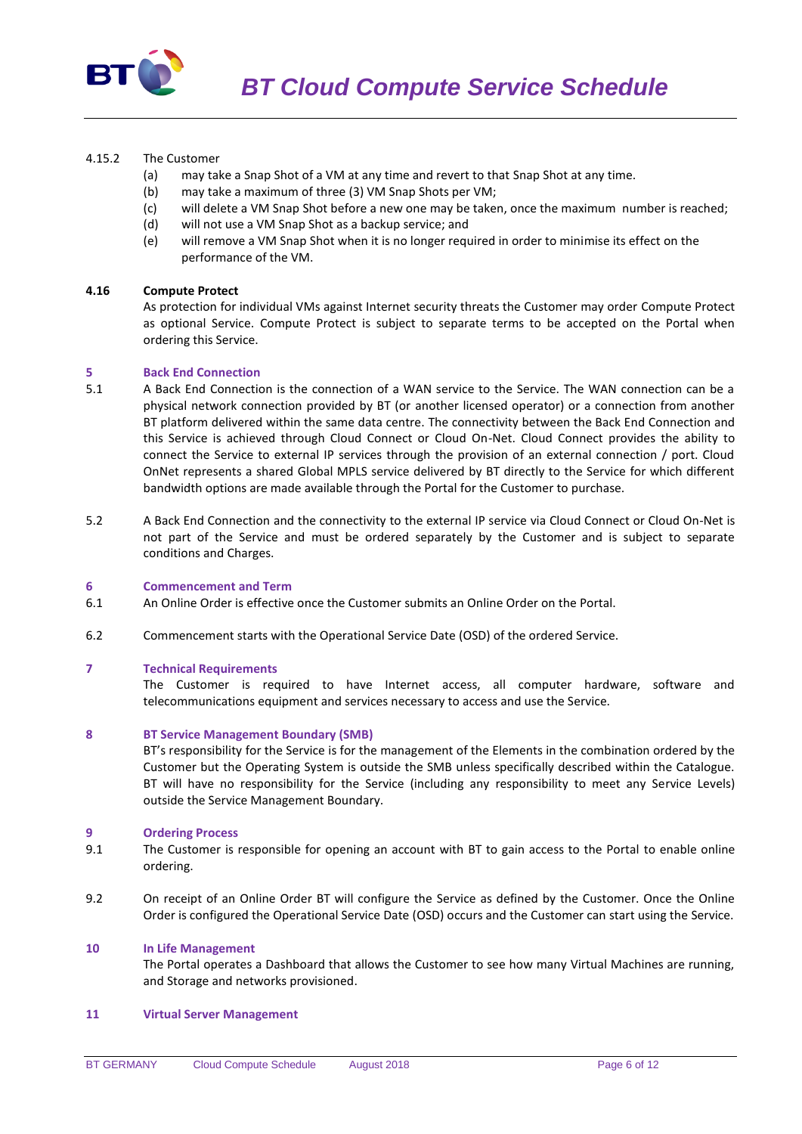

# 4.15.2 The Customer

- (a) may take a Snap Shot of a VM at any time and revert to that Snap Shot at any time.
- (b) may take a maximum of three (3) VM Snap Shots per VM;
- (c) will delete a VM Snap Shot before a new one may be taken, once the maximum number is reached;
- (d) will not use a VM Snap Shot as a backup service; and
- (e) will remove a VM Snap Shot when it is no longer required in order to minimise its effect on the performance of the VM.

#### **4.16 Compute Protect**

As protection for individual VMs against Internet security threats the Customer may order Compute Protect as optional Service. Compute Protect is subject to separate terms to be accepted on the Portal when ordering this Service.

#### **5 Back End Connection**

- 5.1 A Back End Connection is the connection of a WAN service to the Service. The WAN connection can be a physical network connection provided by BT (or another licensed operator) or a connection from another BT platform delivered within the same data centre. The connectivity between the Back End Connection and this Service is achieved through Cloud Connect or Cloud On-Net. Cloud Connect provides the ability to connect the Service to external IP services through the provision of an external connection / port. Cloud OnNet represents a shared Global MPLS service delivered by BT directly to the Service for which different bandwidth options are made available through the Portal for the Customer to purchase.
- 5.2 A Back End Connection and the connectivity to the external IP service via Cloud Connect or Cloud On-Net is not part of the Service and must be ordered separately by the Customer and is subject to separate conditions and Charges.

### **6 Commencement and Term**

- 6.1 An Online Order is effective once the Customer submits an Online Order on the Portal.
- 6.2 Commencement starts with the Operational Service Date (OSD) of the ordered Service.

#### **7 Technical Requirements**

The Customer is required to have Internet access, all computer hardware, software and telecommunications equipment and services necessary to access and use the Service.

#### **8 BT Service Management Boundary (SMB)**

BT's responsibility for the Service is for the management of the Elements in the combination ordered by the Customer but the Operating System is outside the SMB unless specifically described within the Catalogue. BT will have no responsibility for the Service (including any responsibility to meet any Service Levels) outside the Service Management Boundary.

### **9 Ordering Process**

- 9.1 The Customer is responsible for opening an account with BT to gain access to the Portal to enable online ordering.
- 9.2 On receipt of an Online Order BT will configure the Service as defined by the Customer. Once the Online Order is configured the Operational Service Date (OSD) occurs and the Customer can start using the Service.

#### **10 In Life Management**

The Portal operates a Dashboard that allows the Customer to see how many Virtual Machines are running, and Storage and networks provisioned.

#### **11 Virtual Server Management**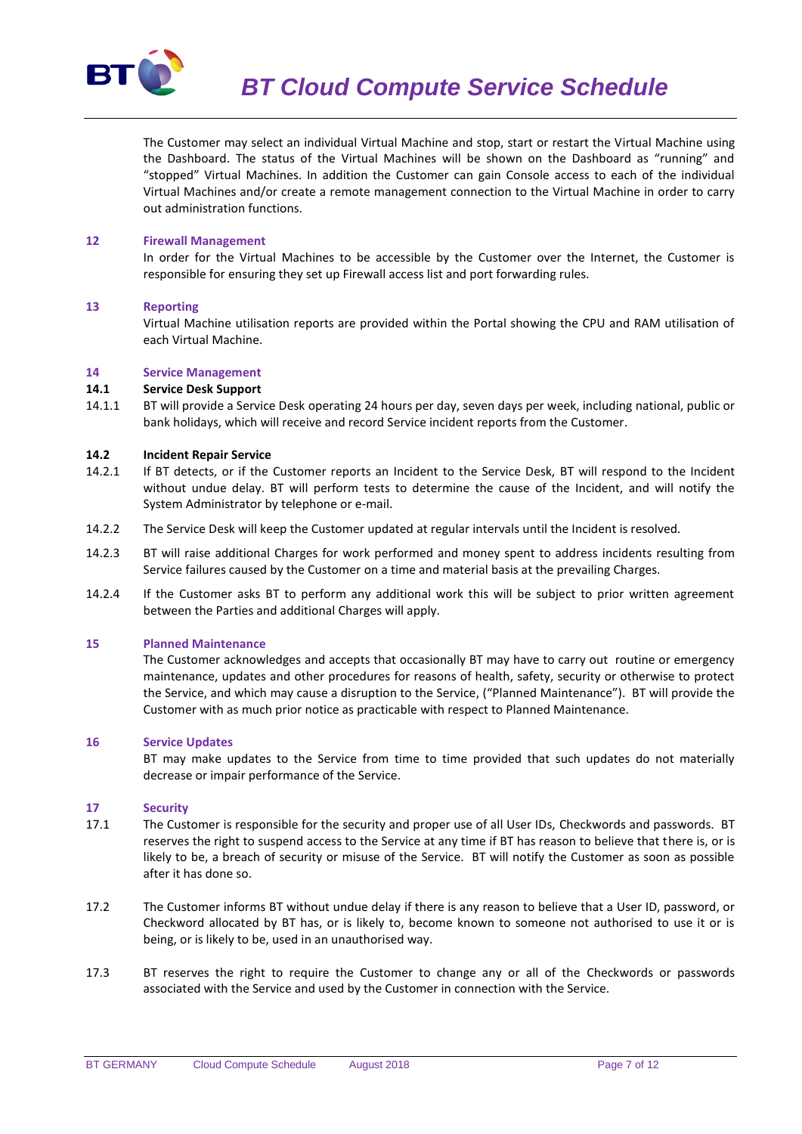

*BT Cloud Compute Service Schedule*

The Customer may select an individual Virtual Machine and stop, start or restart the Virtual Machine using the Dashboard. The status of the Virtual Machines will be shown on the Dashboard as "running" and "stopped" Virtual Machines. In addition the Customer can gain Console access to each of the individual Virtual Machines and/or create a remote management connection to the Virtual Machine in order to carry out administration functions.

#### **12 Firewall Management**

In order for the Virtual Machines to be accessible by the Customer over the Internet, the Customer is responsible for ensuring they set up Firewall access list and port forwarding rules.

### **13 Reporting**

Virtual Machine utilisation reports are provided within the Portal showing the CPU and RAM utilisation of each Virtual Machine.

### **14 Service Management**

### **14.1 Service Desk Support**

14.1.1 BT will provide a Service Desk operating 24 hours per day, seven days per week, including national, public or bank holidays, which will receive and record Service incident reports from the Customer.

### **14.2 Incident Repair Service**

- 14.2.1 If BT detects, or if the Customer reports an Incident to the Service Desk, BT will respond to the Incident without undue delay. BT will perform tests to determine the cause of the Incident, and will notify the System Administrator by telephone or e-mail.
- 14.2.2 The Service Desk will keep the Customer updated at regular intervals until the Incident is resolved.
- 14.2.3 BT will raise additional Charges for work performed and money spent to address incidents resulting from Service failures caused by the Customer on a time and material basis at the prevailing Charges.
- 14.2.4 If the Customer asks BT to perform any additional work this will be subject to prior written agreement between the Parties and additional Charges will apply.

#### **15 Planned Maintenance**

The Customer acknowledges and accepts that occasionally BT may have to carry out routine or emergency maintenance, updates and other procedures for reasons of health, safety, security or otherwise to protect the Service, and which may cause a disruption to the Service, ("Planned Maintenance"). BT will provide the Customer with as much prior notice as practicable with respect to Planned Maintenance.

#### **16 Service Updates**

BT may make updates to the Service from time to time provided that such updates do not materially decrease or impair performance of the Service.

#### **17 Security**

- 17.1 The Customer is responsible for the security and proper use of all User IDs, Checkwords and passwords. BT reserves the right to suspend access to the Service at any time if BT has reason to believe that there is, or is likely to be, a breach of security or misuse of the Service. BT will notify the Customer as soon as possible after it has done so.
- 17.2 The Customer informs BT without undue delay if there is any reason to believe that a User ID, password, or Checkword allocated by BT has, or is likely to, become known to someone not authorised to use it or is being, or is likely to be, used in an unauthorised way.
- 17.3 BT reserves the right to require the Customer to change any or all of the Checkwords or passwords associated with the Service and used by the Customer in connection with the Service.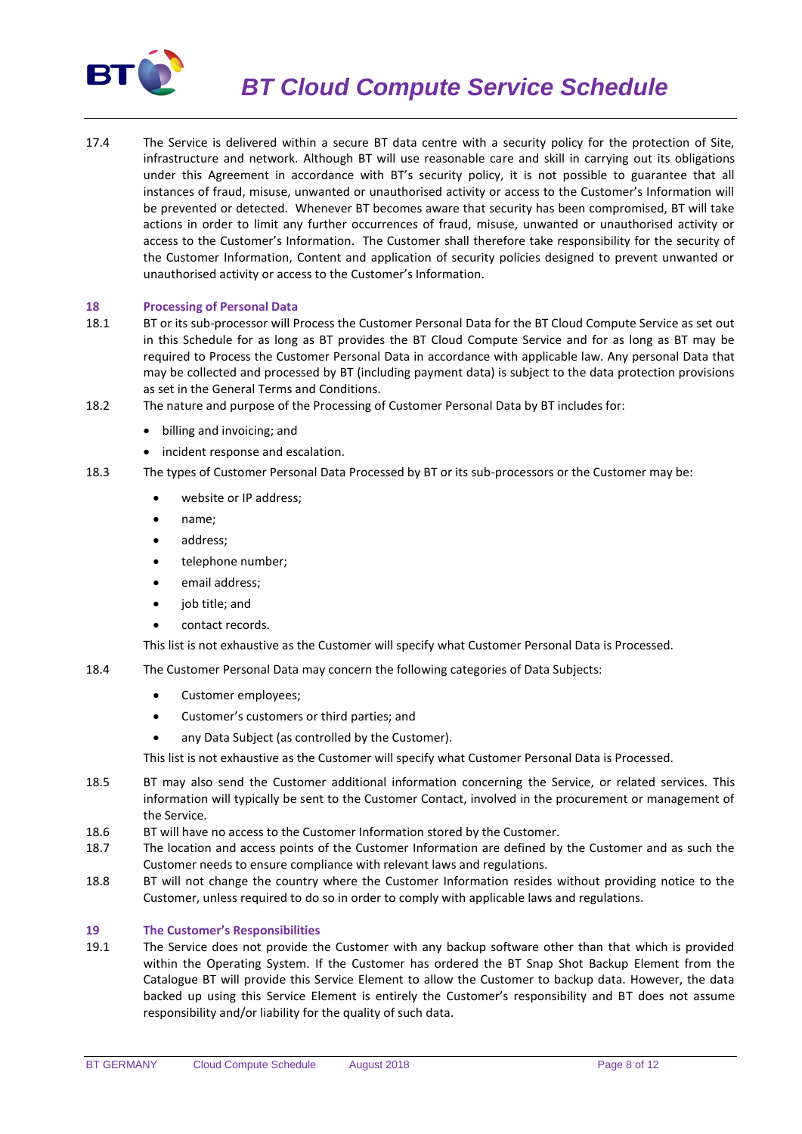

*BT Cloud Compute Service Schedule*

17.4 The Service is delivered within a secure BT data centre with a security policy for the protection of Site, infrastructure and network. Although BT will use reasonable care and skill in carrying out its obligations under this Agreement in accordance with BT's security policy, it is not possible to guarantee that all instances of fraud, misuse, unwanted or unauthorised activity or access to the Customer's Information will be prevented or detected. Whenever BT becomes aware that security has been compromised, BT will take actions in order to limit any further occurrences of fraud, misuse, unwanted or unauthorised activity or access to the Customer's Information. The Customer shall therefore take responsibility for the security of the Customer Information, Content and application of security policies designed to prevent unwanted or unauthorised activity or access to the Customer's Information.

## **18 Processing of Personal Data**

- 18.1 BT or its sub-processor will Process the Customer Personal Data for the BT Cloud Compute Service as set out in this Schedule for as long as BT provides the BT Cloud Compute Service and for as long as BT may be required to Process the Customer Personal Data in accordance with applicable law. Any personal Data that may be collected and processed by BT (including payment data) is subject to the data protection provisions as set in the General Terms and Conditions.
- 18.2 The nature and purpose of the Processing of Customer Personal Data by BT includes for:
	- billing and invoicing; and
	- incident response and escalation.
- 18.3 The types of Customer Personal Data Processed by BT or its sub-processors or the Customer may be:
	- website or IP address;
	- name;
	- address;
	- telephone number;
	- email address;
	- job title; and
	- contact records.

This list is not exhaustive as the Customer will specify what Customer Personal Data is Processed.

- 18.4 The Customer Personal Data may concern the following categories of Data Subjects:
	- Customer employees;
	- Customer's customers or third parties; and
	- any Data Subject (as controlled by the Customer).

This list is not exhaustive as the Customer will specify what Customer Personal Data is Processed.

- 18.5 BT may also send the Customer additional information concerning the Service, or related services. This information will typically be sent to the Customer Contact, involved in the procurement or management of the Service.
- 18.6 BT will have no access to the Customer Information stored by the Customer.
- 18.7 The location and access points of the Customer Information are defined by the Customer and as such the Customer needs to ensure compliance with relevant laws and regulations.
- 18.8 BT will not change the country where the Customer Information resides without providing notice to the Customer, unless required to do so in order to comply with applicable laws and regulations.

#### **19 The Customer's Responsibilities**

19.1 The Service does not provide the Customer with any backup software other than that which is provided within the Operating System. If the Customer has ordered the BT Snap Shot Backup Element from the Catalogue BT will provide this Service Element to allow the Customer to backup data. However, the data backed up using this Service Element is entirely the Customer's responsibility and BT does not assume responsibility and/or liability for the quality of such data.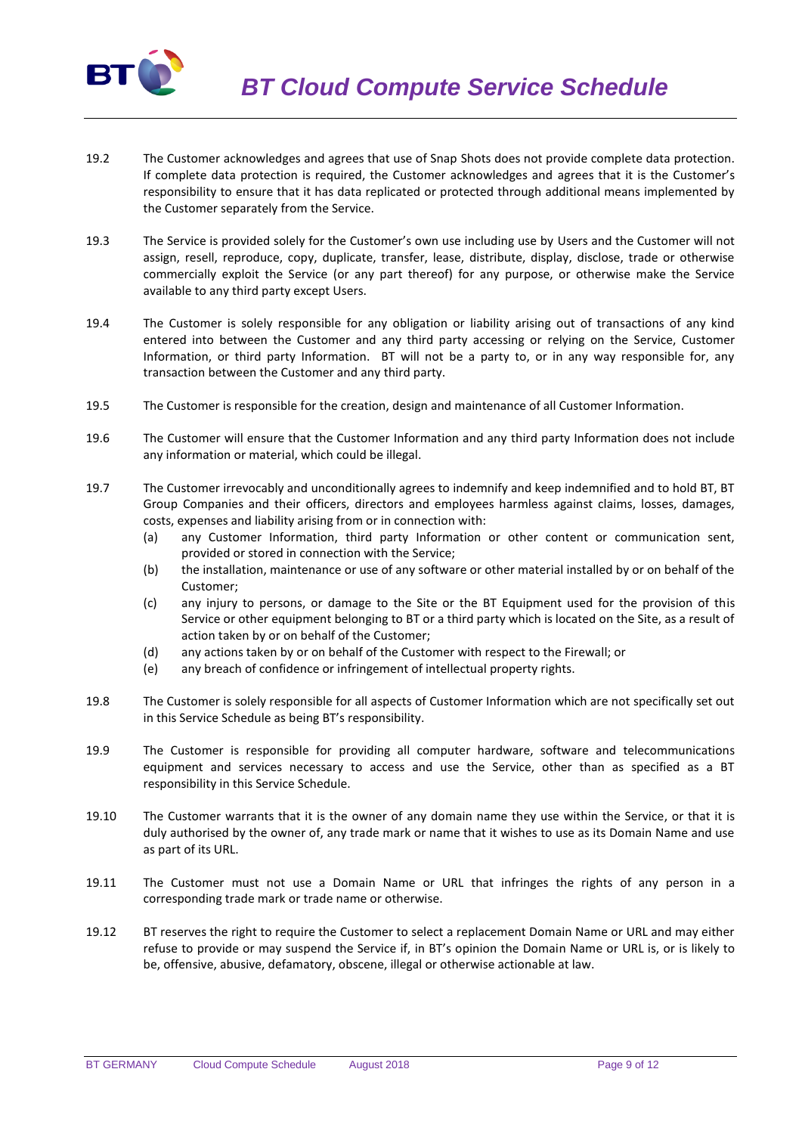

- 19.2 The Customer acknowledges and agrees that use of Snap Shots does not provide complete data protection. If complete data protection is required, the Customer acknowledges and agrees that it is the Customer's responsibility to ensure that it has data replicated or protected through additional means implemented by the Customer separately from the Service.
- 19.3 The Service is provided solely for the Customer's own use including use by Users and the Customer will not assign, resell, reproduce, copy, duplicate, transfer, lease, distribute, display, disclose, trade or otherwise commercially exploit the Service (or any part thereof) for any purpose, or otherwise make the Service available to any third party except Users.
- 19.4 The Customer is solely responsible for any obligation or liability arising out of transactions of any kind entered into between the Customer and any third party accessing or relying on the Service, Customer Information, or third party Information. BT will not be a party to, or in any way responsible for, any transaction between the Customer and any third party.
- 19.5 The Customer is responsible for the creation, design and maintenance of all Customer Information.
- 19.6 The Customer will ensure that the Customer Information and any third party Information does not include any information or material, which could be illegal.
- 19.7 The Customer irrevocably and unconditionally agrees to indemnify and keep indemnified and to hold BT, BT Group Companies and their officers, directors and employees harmless against claims, losses, damages, costs, expenses and liability arising from or in connection with:
	- (a) any Customer Information, third party Information or other content or communication sent, provided or stored in connection with the Service;
	- (b) the installation, maintenance or use of any software or other material installed by or on behalf of the Customer;
	- (c) any injury to persons, or damage to the Site or the BT Equipment used for the provision of this Service or other equipment belonging to BT or a third party which is located on the Site, as a result of action taken by or on behalf of the Customer;
	- (d) any actions taken by or on behalf of the Customer with respect to the Firewall; or
	- (e) any breach of confidence or infringement of intellectual property rights.
- 19.8 The Customer is solely responsible for all aspects of Customer Information which are not specifically set out in this Service Schedule as being BT's responsibility.
- 19.9 The Customer is responsible for providing all computer hardware, software and telecommunications equipment and services necessary to access and use the Service, other than as specified as a BT responsibility in this Service Schedule.
- 19.10 The Customer warrants that it is the owner of any domain name they use within the Service, or that it is duly authorised by the owner of, any trade mark or name that it wishes to use as its Domain Name and use as part of its URL.
- 19.11 The Customer must not use a Domain Name or URL that infringes the rights of any person in a corresponding trade mark or trade name or otherwise.
- 19.12 BT reserves the right to require the Customer to select a replacement Domain Name or URL and may either refuse to provide or may suspend the Service if, in BT's opinion the Domain Name or URL is, or is likely to be, offensive, abusive, defamatory, obscene, illegal or otherwise actionable at law.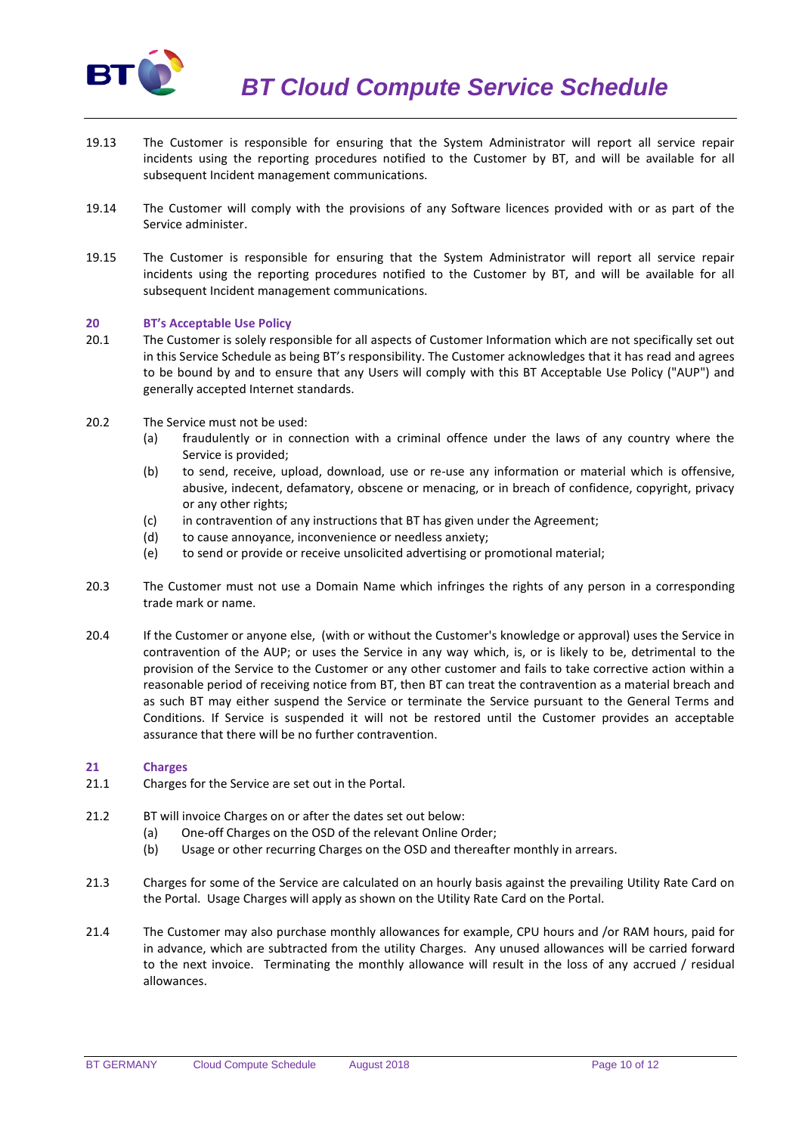

- 19.13 The Customer is responsible for ensuring that the System Administrator will report all service repair incidents using the reporting procedures notified to the Customer by BT, and will be available for all subsequent Incident management communications.
- 19.14 The Customer will comply with the provisions of any Software licences provided with or as part of the Service administer.
- 19.15 The Customer is responsible for ensuring that the System Administrator will report all service repair incidents using the reporting procedures notified to the Customer by BT, and will be available for all subsequent Incident management communications.

### **20 BT's Acceptable Use Policy**

- 20.1 The Customer is solely responsible for all aspects of Customer Information which are not specifically set out in this Service Schedule as being BT's responsibility. The Customer acknowledges that it has read and agrees to be bound by and to ensure that any Users will comply with this BT Acceptable Use Policy ("AUP") and generally accepted Internet standards.
- 20.2 The Service must not be used:
	- (a) fraudulently or in connection with a criminal offence under the laws of any country where the Service is provided;
	- (b) to send, receive, upload, download, use or re-use any information or material which is offensive, abusive, indecent, defamatory, obscene or menacing, or in breach of confidence, copyright, privacy or any other rights;
	- (c) in contravention of any instructions that BT has given under the Agreement;
	- (d) to cause annoyance, inconvenience or needless anxiety;
	- (e) to send or provide or receive unsolicited advertising or promotional material;
- 20.3 The Customer must not use a Domain Name which infringes the rights of any person in a corresponding trade mark or name.
- 20.4 If the Customer or anyone else, (with or without the Customer's knowledge or approval) uses the Service in contravention of the AUP; or uses the Service in any way which, is, or is likely to be, detrimental to the provision of the Service to the Customer or any other customer and fails to take corrective action within a reasonable period of receiving notice from BT, then BT can treat the contravention as a material breach and as such BT may either suspend the Service or terminate the Service pursuant to the General Terms and Conditions. If Service is suspended it will not be restored until the Customer provides an acceptable assurance that there will be no further contravention.

#### **21 Charges**

- 21.1 Charges for the Service are set out in the Portal.
- 21.2 BT will invoice Charges on or after the dates set out below:
	- (a) One-off Charges on the OSD of the relevant Online Order;
	- (b) Usage or other recurring Charges on the OSD and thereafter monthly in arrears.
- 21.3 Charges for some of the Service are calculated on an hourly basis against the prevailing Utility Rate Card on the Portal. Usage Charges will apply as shown on the Utility Rate Card on the Portal.
- 21.4 The Customer may also purchase monthly allowances for example, CPU hours and /or RAM hours, paid for in advance, which are subtracted from the utility Charges. Any unused allowances will be carried forward to the next invoice. Terminating the monthly allowance will result in the loss of any accrued / residual allowances.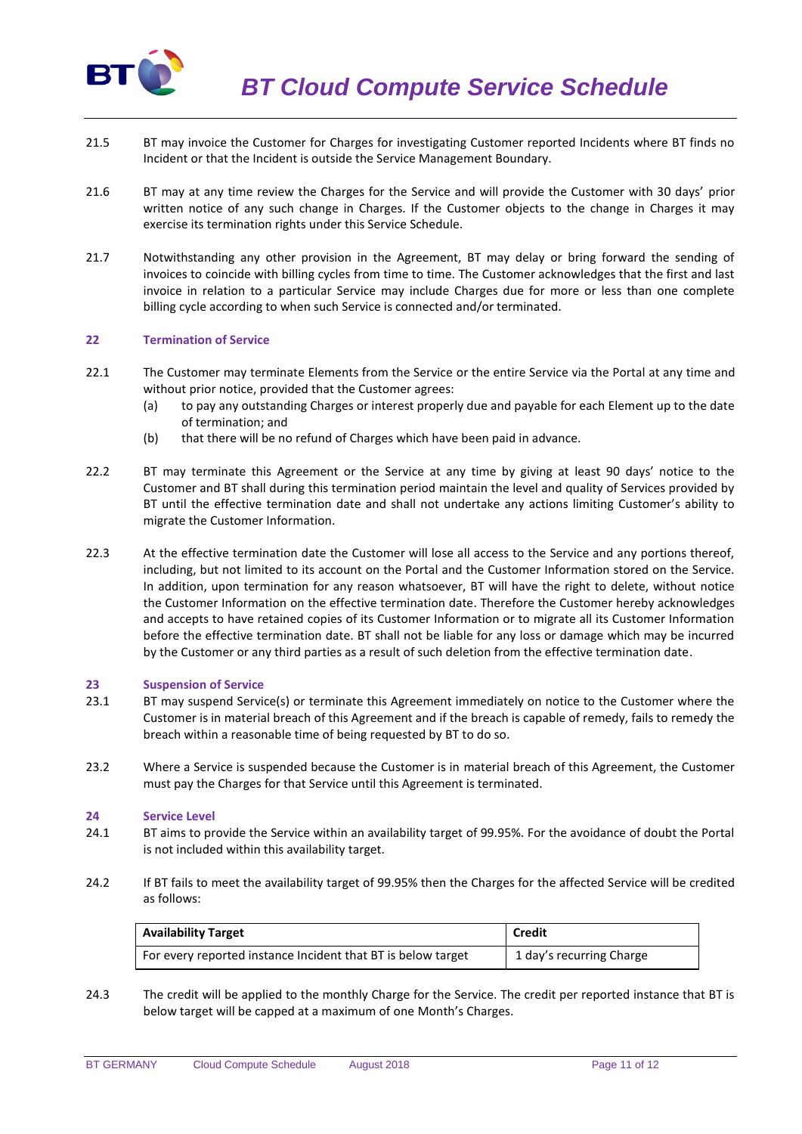

*BT Cloud Compute Service Schedule*

- 21.5 BT may invoice the Customer for Charges for investigating Customer reported Incidents where BT finds no Incident or that the Incident is outside the Service Management Boundary.
- 21.6 BT may at any time review the Charges for the Service and will provide the Customer with 30 days' prior written notice of any such change in Charges. If the Customer objects to the change in Charges it may exercise its termination rights under this Service Schedule.
- 21.7 Notwithstanding any other provision in the Agreement, BT may delay or bring forward the sending of invoices to coincide with billing cycles from time to time. The Customer acknowledges that the first and last invoice in relation to a particular Service may include Charges due for more or less than one complete billing cycle according to when such Service is connected and/or terminated.

### **22 Termination of Service**

- 22.1 The Customer may terminate Elements from the Service or the entire Service via the Portal at any time and without prior notice, provided that the Customer agrees:
	- (a) to pay any outstanding Charges or interest properly due and payable for each Element up to the date of termination; and
	- (b) that there will be no refund of Charges which have been paid in advance.
- 22.2 BT may terminate this Agreement or the Service at any time by giving at least 90 days' notice to the Customer and BT shall during this termination period maintain the level and quality of Services provided by BT until the effective termination date and shall not undertake any actions limiting Customer's ability to migrate the Customer Information.
- 22.3 At the effective termination date the Customer will lose all access to the Service and any portions thereof, including, but not limited to its account on the Portal and the Customer Information stored on the Service. In addition, upon termination for any reason whatsoever, BT will have the right to delete, without notice the Customer Information on the effective termination date. Therefore the Customer hereby acknowledges and accepts to have retained copies of its Customer Information or to migrate all its Customer Information before the effective termination date. BT shall not be liable for any loss or damage which may be incurred by the Customer or any third parties as a result of such deletion from the effective termination date.

### **23 Suspension of Service**

- 23.1 BT may suspend Service(s) or terminate this Agreement immediately on notice to the Customer where the Customer is in material breach of this Agreement and if the breach is capable of remedy, fails to remedy the breach within a reasonable time of being requested by BT to do so.
- 23.2 Where a Service is suspended because the Customer is in material breach of this Agreement, the Customer must pay the Charges for that Service until this Agreement is terminated.

#### **24 Service Level**

- 24.1 BT aims to provide the Service within an availability target of 99.95%. For the avoidance of doubt the Portal is not included within this availability target.
- 24.2 If BT fails to meet the availability target of 99.95% then the Charges for the affected Service will be credited as follows:

| <b>Availability Target</b>                                   | Credit                   |
|--------------------------------------------------------------|--------------------------|
| For every reported instance Incident that BT is below target | 1 day's recurring Charge |

24.3 The credit will be applied to the monthly Charge for the Service. The credit per reported instance that BT is below target will be capped at a maximum of one Month's Charges.